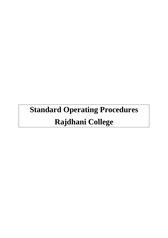# **Standard Operating Procedures Rajdhani College**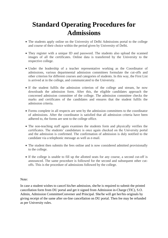# **Standard Operating Procedures for Admissions**

- The students apply online on the University of Delhi Admissions portal to the college and course of their choice within the period given by University of Delhi.
- They register with a unique ID and password. The students also upload the scanned images of all the certificates. Online data is transferred by the University to the respective college.
- Under the leadership of a teacher representative working as the Coordinator of admissions, various departmental admission committees formulate the cut-offs and other criterion for different courses and categories of students. In this way, the First List is arrived at in the college, and communicated to the University.
- If the student fulfils the admission criterion of the college and stream, he now downloads the admission form. After this, the eligible candidates approach the concerned admission committee of the college. The admission committee checks the marks and certificates of the candidates and ensures that the student fulfils the admission criteria.
- Forms complete in all respects are sent by the admission committees to the coordinator of admissions. After the coordinator is satisfied that all admission criteria have been adhered to, the forms are sent to the college office.
- The non-teaching staff again examines the students form and physically verifies the certificates. The students' candidature is once again checked on the University portal and the admission is confirmed. The confirmation of admission is duly notified to the candidate via a telephonic message as well as e-mail.
- The student then submits the fees online and is now considered admitted provisionally to the college.
- If the college is unable to fill up the allotted seats for any course, a second cut-off is announced. The same procedure is followed for the second and subsequent other cutoffs. This is the procedure of admissions followed by the college.

#### Note:

In case a student wishes to cancel his/her admission, she/he is required to submit the printed cancellation form from DU portal and get it signed from Admission in-Charge (TIC), S.O. Admin, Admission CommitteeConvener and Principal. She/he will get her/his originals by giving receipt of the same after on-line cancellation on DU portal. Then fee may be refunded as per University rules.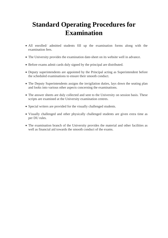# **Standard Operating Procedures for Examination**

- All enrolled/ admitted students fill up the examination forms along with the examination fees.
- The University provides the examination date-sheet on its website well in advance.
- Before exams admit cards duly signed by the principal are distributed.
- Deputy superintendents are appointed by the Principal acting as Superintendent before the scheduled examinations to ensure their smooth conduct.
- The Deputy Superintendents assigns the invigilation duties, lays down the seating plan and looks into various other aspects concerning the examinations.
- The answer sheets are duly collected and sent to the University on session basis. These scripts are examined at the University examination centres.
- Special writers are provided for the visually challenged students.
- Visually challenged and other physically challenged students are given extra time as per DU rules.
- The examination branch of the University provides the material and other facilities as well as financial aid towards the smooth conduct of the exams.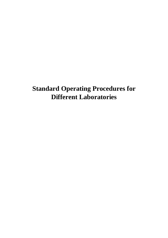# **Standard Operating Procedures for Different Laboratories**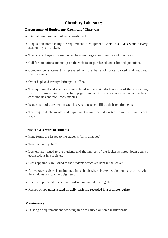# **Chemistry Laboratory**

#### **Procurement of Equipment/ Chemicals / Glassware**

- Internal purchase committee is constituted.
- Requisition from faculty for requirement of equipment/ Chemicals / Glassware in every academic year is taken.
- The lab-in-charges inform the teacher- in-charge about the stock of chemicals.
- Call for quotations are put up on the website or purchased under limited quotations.
- Comparative statement is prepared on the basis of price quoted and required specifications.
- Order is placed through Principal's office.
- The equipment and chemicals are entered in the main stock register of the store along with bill number and on the bill, page number of the stock register under the head consumables and non- consumables.
- Issue slip books are kept in each lab where teachers fill up their requirements.
- The required chemicals and equipment's are then deducted from the main stock register.

#### **Issue of Glassware to students**

- Issue forms are issued to the students (form attached).
- Teachers verify them.
- Lockers are issued to the students and the number of the locker is noted down against each student in a register.
- Glass apparatus are issued to the students which are kept in the locker.
- A breakage register is maintained in each lab where broken equipment is recorded with the students and teachers signature.
- Chemical prepared in each lab is also maintained in a register.
- Record of apparatus issued on daily basis are recorded in a separate register.

#### **Maintenance**

Dusting of equipment and working area are carried out on a regular basis.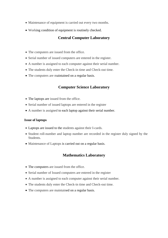- Maintenance of equipment is carried out every two months.
- Working condition of equipment is routinely checked.

### **Central Computer Laboratory**

- The computers are issued from the office.
- Serial number of issued computers are entered in the register.
- A number is assigned to each computer against their serial number.
- The students duly enter the Check-in time and Check-out time.
- The computers are maintained on a regular basis.

### **Computer Science Laboratory**

- The laptops are issued from the office.
- Serial number of issued laptops are entered in the register
- A number is assigned to each laptop against their serial number.

#### **Issue of laptops**

- Laptops are issued to the students against their I-cards.
- Student roll-number and laptop number are recorded in the register duly signed by the Students.
- Maintenance of Laptops is carried out on a regular basis.

### **Mathematics Laboratory**

- The computers are issued from the office.
- Serial number of Issued computers are entered in the register
- A number is assigned to each computer against their serial number.
- The students duly enter the Check-in time and Check-out time.
- The computers are maintained on a regular basis.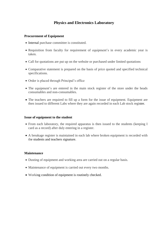# **Physics and Electronics Laboratory**

#### **Procurement of Equipment**

- Internal purchase committee is constituted.
- Requisition from faculty for requirement of equipment's in every academic year is taken.
- Call for quotations are put up on the website or purchased under limited quotations
- Comparative statement is prepared on the basis of price quoted and specified technical specifications.
- Order is placed through Principal's office
- The equipment's are entered in the main stock register of the store under the heads consumables and non-consumables.
- The teachers are required to fill up a form for the issue of equipment. Equipment are then issued to different Labs where they are again recorded in each Lab stock register.

#### **Issue of equipment to the student**

- From each laboratory, the required apparatus is then issued to the students (keeping I card as a record) after duly entering in a register.
- A breakage register is maintained in each lab where broken equipment is recorded with the students and teachers signature.

#### **Maintenance**

- Dusting of equipment and working area are carried out on a regular basis.
- Maintenance of equipment is carried out every two months.
- Working condition of equipment is routinely checked.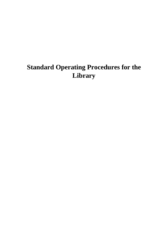# **Standard Operating Procedures for the Library**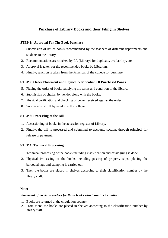# **Purchase of Library Books and their Filing in Shelves**

#### **STEP 1: Approval For The Book Purchase**

- 1. Submission of list of books recommended by the teachers of different departments and students to the library.
- 2. Recommendations are checked by PA (Library) for duplicate, availability, etc.
- 3. Approval is taken for the recommended books by Librarian.
- 4. Finally, sanction is taken from the Principal of the college for purchase.

#### **STEP 2: Order Placement and Physical Verification Of Purchased Books**

- 5. Placing the order of books satisfying the terms and condition of the library.
- 6. Submission of challan by vendor along with the books.
- 7. Physical verification and checking of books received against the order.
- 8. Submission of bill by vendor to the college.

#### **STEP 3: Processing of the Bill**

- 1. Accessioning of books in the accession register of Library.
- 2. Finally, the bill is processed and submitted to accounts section, through principal for release of payment.

#### **STEP 4: Technical Processing**

- 1. Technical processing of the books including classification and cataloguing is done.
- 2. Physical Processing of the books including pasting of property slips, placing the barcoded tags and stamping is carried out.
- 3. Then the books are placed in shelves according to their classification number by the library staff.

#### **Note:**

#### *Placement of books in shelves for those books which are in circulation:*

- 1. Books are returned at the circulation counter.
- 2. From there, the books are placed in shelves according to the classification number by library staff.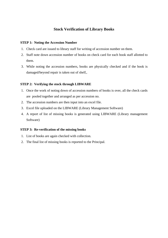## **Stock Verification of Library Books**

#### **STEP 1: Noting the Accession Number**

- 1. Check card are issued to library staff for writing of accession number on them.
- 2. Staff note down accession number of books on check card for each book staff allotted to them.
- 3. While noting the accession numbers, books are physically checked and if the book is damaged/beyond repair is taken out of shelf,.

#### **STEP 2: Verifying the stock through LIBWARE**

- 1. Once the work of noting down of accession numbers of books is over, all the check cards are pooled together and arranged as per accession no.
- 2. The accession numbers are then input into an excel file.
- 3. Excel file uploaded on the LIBWARE (Library Management Software)
- 4. A report of list of missing books is generated using LIBWARE (Library management Software)

#### **STEP 3: Re-verification of the missing books**

- 1. List of books are again checked with collection.
- 2. The final list of missing books is reported to the Principal.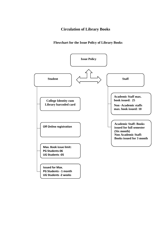## **Circulation of Library Books**

### **Flowchart for the Issue Policy of Library Books**

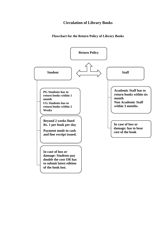# **Circulation of Library Books**

### **Flowchart for the Return Policy of Library Books**

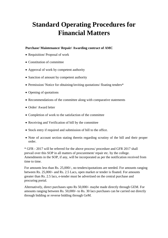# **Standard Operating Procedures for Financial Matters**

### **Purchase/ Maintenance/ Repair/ Awarding contract of AMC**

- Requisition/ Proposal of work
- Constitution of committee
- Approval of work by competent authority
- Sanction of amount by competent authority
- Permission/Notice for obtaining/inviting quotations/floating tenders\*
- Opening of quotations
- Recommendations of the committee along with comparative statements
- Order/ Award letter
- Completion of work to the satisfaction of the committee
- Receiving and Verification of bill by the committee
- Stock entry if required and submission of bill to the office.
- Note of account section stating therein regarding scrutiny of the bill and their proper order.

\* GFR - 2017 will be referred for the above process/ procedure and GFR 2017 shall prevail over this SOP in all matters of procurement/ repair etc. by the college. Amendments in the SOP, if any, will be incorporated as per the notification received from time to time.

For amounts less than Rs. 25,000/-, no tenders/quotations are needed. For amounts ranging between Rs. 25,000/- and Rs. 2.5 Lacs, open market or tender is floated. For amounts greater than Rs. 2.5 lacs, e-tender must be advertised on the central purchase and procuring portal.

Alternatively, direct purchases upto Rs 50,000/- maybe made directly through GEM. For amounts ranging between Rs. 50,000/- to Rs. 30 lacs purchases can be carried out directly through bidding or reverse bidding through GeM.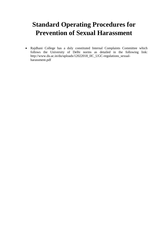# **Standard Operating Procedures for Prevention of Sexual Harassment**

 Rajdhani College has a duly constituted Internal Complaints Committee which follows the University of Delhi norms as detailed in the following link: http://www.du.ac.in/du/uploads/12022018\_IIC\_UGC-regulations\_sexualharassment.pdf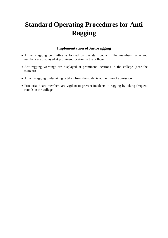# **Standard Operating Procedures for Anti Ragging**

# **Implementation of Anti-ragging**

- An anti-ragging committee is formed by the staff council. The members name and numbers are displayed at prominent location in the college.
- Anti-ragging warnings are displayed at prominent locations in the college (near the canteen).
- An anti-ragging undertaking is taken from the students at the time of admission.
- Proctorial board members are vigilant to prevent incidents of ragging by taking frequent rounds in the college.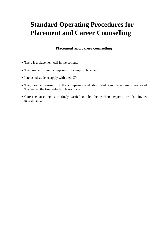# **Standard Operating Procedures for Placement and Career Counselling**

### **Placement and career counselling**

- There is a placement cell in the college.
- They invite different companies for campus placement.
- Interested students apply with their CV.
- They are scrutinised by the companies and shortlisted candidates are interviewed. Thereafter, the final selection takes place.
- Career counselling is routinely carried out by the teachers, experts are also invited occasionally.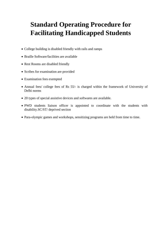# **Standard Operating Procedure for Facilitating Handicapped Students**

- College building is disabled friendly with rails and ramps
- Braille Software/facilities are available
- Rest Rooms are disabled friendly
- Scribes for examination are provided
- Examination fees exempted
- Annual fees/ college fees of Rs 55/- is charged within the framework of University of Delhi norms
- 20 types of special assistive devices and softwares are available.
- PWD students liaison officer is appointed to coordinate with the students with disability.SC/ST/ deprived section
- Para-olympic games and workshops, sensitizing programs are held from time to time.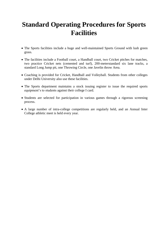# **Standard Operating Procedures for Sports Facilities**

- The Sports facilities include a huge and well-maintained Sports Ground with lush green grass.
- The facilities include a Football court, a Handball court, two Cricket pitches for matches, two practice Cricket nets (cemented and turf), 200-meterstandard six lane tracks, a standard Long Jump pit, one Throwing Circle, one Javelin throw Area.
- Coaching is provided for Cricket, Handball and Volleyball. Students from other colleges under Delhi University also use these facilities.
- The Sports department maintains a stock issuing register to issue the required sports equipment's to students against their college I card.
- Students are selected for participation in various games through a rigorous screening process.
- A large number of intra-college competitions are regularly held, and an Annual Inter College athletic meet is held every year.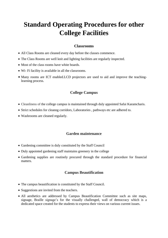# **Standard Operating Procedures for other College Facilities**

### **Classrooms**

- All Class Rooms are cleaned every day before the classes commence.
- The Class Rooms are well knit and lighting facilities are regularly inspected.
- Most of the class rooms have white boards.
- Wi- Fi facility is available in all the classrooms.
- Many rooms are ICT enabled.LCD projectors are used to aid and improve the teachinglearning process.

### **College Campus**

- Cleanliness of the college campus is maintained through duly appointed Safai Karamcharis.
- Strict schedules for cleanng corridors, Laboratories , pathways etc are adhered to.
- Washrooms are cleaned regularly.

#### **Garden maintenance**

- Gardening committee is duly constituted by the Staff Council
- Duly appointed gardening staff maintains greenery in the college
- Gardening supplies are routinely procured through the standard procedure for financial matters.

#### **Campus Beautification**

- The campus beautification is constituted by the Staff Council.
- Suggestions are invited from the teachers.
- All aesthetics are addressed by Campus Beautification Committee such as site maps, signage, Braille signage's for the visually challenged, wall of democracy which is a dedicated space created for the students to express their views on various current issues.